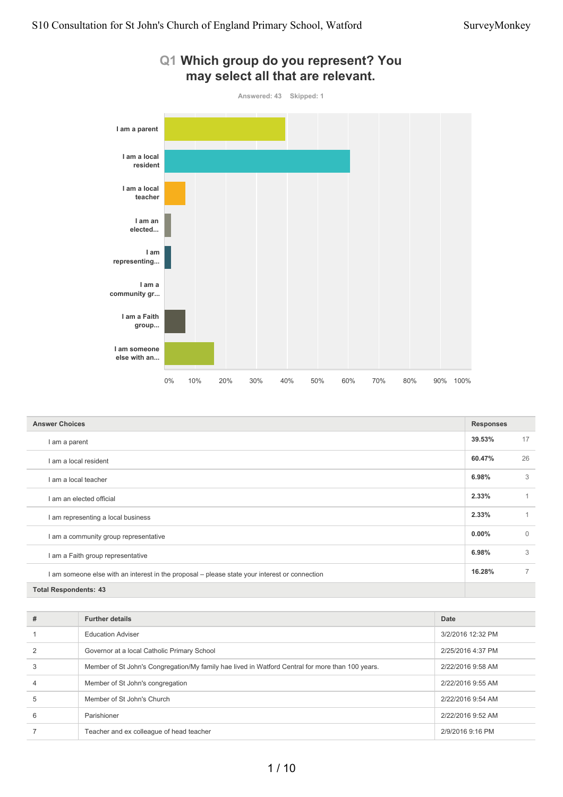

| Q1 Which group do you represent? You |  |
|--------------------------------------|--|
| may select all that are relevant.    |  |

| <b>Answer Choices</b>                                                                         |          |                |
|-----------------------------------------------------------------------------------------------|----------|----------------|
| I am a parent                                                                                 | 39.53%   | 17             |
| I am a local resident                                                                         | 60.47%   | 26             |
| I am a local teacher                                                                          | 6.98%    | 3              |
| I am an elected official                                                                      | 2.33%    | 1              |
| I am representing a local business                                                            | 2.33%    |                |
| I am a community group representative                                                         | $0.00\%$ | $\Omega$       |
| I am a Faith group representative                                                             | 6.98%    | 3              |
| I am someone else with an interest in the proposal – please state your interest or connection | 16.28%   | $\overline{7}$ |
| <b>Total Respondents: 43</b>                                                                  |          |                |

| # | <b>Further details</b>                                                                           | <b>Date</b>       |
|---|--------------------------------------------------------------------------------------------------|-------------------|
|   | <b>Education Adviser</b>                                                                         | 3/2/2016 12:32 PM |
|   | Governor at a local Catholic Primary School                                                      | 2/25/2016 4:37 PM |
| 3 | Member of St John's Congregation/My family hae lived in Watford Central for more than 100 years. | 2/22/2016 9:58 AM |
| 4 | Member of St John's congregation                                                                 | 2/22/2016 9:55 AM |
| 5 | Member of St John's Church                                                                       | 2/22/2016 9:54 AM |
| 6 | Parishioner                                                                                      | 2/22/2016 9:52 AM |
|   | Teacher and ex colleague of head teacher                                                         | 2/9/2016 9:16 PM  |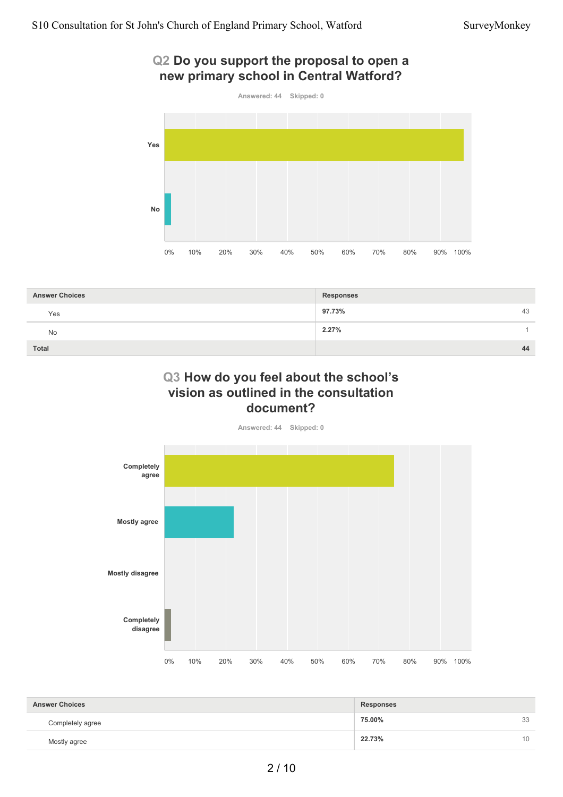## **Q2 Do you support the proposal to open a new primary school in Central Watford?**



| <b>Answer Choices</b> | <b>Responses</b> |
|-----------------------|------------------|
| Yes                   | 97.73%<br>43     |
| <b>No</b>             | 2.27%            |
| Total                 | 44               |

## **Q3 How do you feel about the school's vision as outlined in the consultation document?**

**Answered: 44 Skipped: 0**



| <b>Answer Choices</b><br>Responses |        |                 |
|------------------------------------|--------|-----------------|
|                                    |        |                 |
| Completely agree                   | 75.00% | 33              |
| Mostly agree                       | 22.73% | 10 <sup>1</sup> |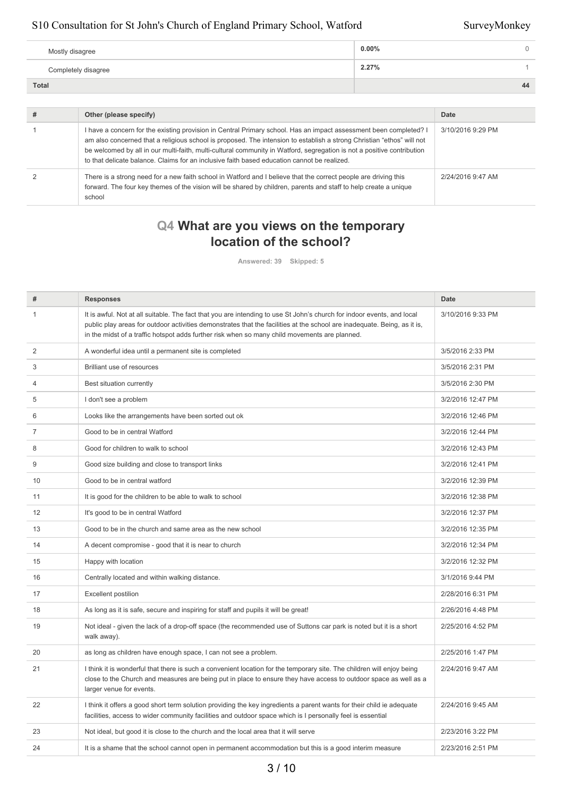| Mostly disagree     | $0.00\%$ |
|---------------------|----------|
| Completely disagree | 2.27%    |
| Total               | 44       |

| Other (please specify)                                                                                                                                                                                                                                                                                                                                                                                                                                              | Date              |
|---------------------------------------------------------------------------------------------------------------------------------------------------------------------------------------------------------------------------------------------------------------------------------------------------------------------------------------------------------------------------------------------------------------------------------------------------------------------|-------------------|
| I have a concern for the existing provision in Central Primary school. Has an impact assessment been completed? I<br>am also concerned that a religious school is proposed. The intension to establish a strong Christian "ethos" will not<br>be welcomed by all in our multi-faith, multi-cultural community in Watford, segregation is not a positive contribution<br>to that delicate balance. Claims for an inclusive faith based education cannot be realized. | 3/10/2016 9:29 PM |
| There is a strong need for a new faith school in Watford and I believe that the correct people are driving this<br>forward. The four key themes of the vision will be shared by children, parents and staff to help create a unique<br>school                                                                                                                                                                                                                       | 2/24/2016 9:47 AM |

# **Q4 What are you views on the temporary location of the school?**

**Answered: 39 Skipped: 5**

| #              | <b>Responses</b>                                                                                                                                                                                                                                                                                                                                    | <b>Date</b>       |
|----------------|-----------------------------------------------------------------------------------------------------------------------------------------------------------------------------------------------------------------------------------------------------------------------------------------------------------------------------------------------------|-------------------|
| 1              | It is awful. Not at all suitable. The fact that you are intending to use St John's church for indoor events, and local<br>public play areas for outdoor activities demonstrates that the facilities at the school are inadequate. Being, as it is,<br>in the midst of a traffic hotspot adds further risk when so many child movements are planned. | 3/10/2016 9:33 PM |
| 2              | A wonderful idea until a permanent site is completed                                                                                                                                                                                                                                                                                                | 3/5/2016 2:33 PM  |
| 3              | Brilliant use of resources                                                                                                                                                                                                                                                                                                                          | 3/5/2016 2:31 PM  |
| 4              | Best situation currently                                                                                                                                                                                                                                                                                                                            | 3/5/2016 2:30 PM  |
| 5              | I don't see a problem                                                                                                                                                                                                                                                                                                                               | 3/2/2016 12:47 PM |
| 6              | Looks like the arrangements have been sorted out ok                                                                                                                                                                                                                                                                                                 | 3/2/2016 12:46 PM |
| $\overline{7}$ | Good to be in central Watford                                                                                                                                                                                                                                                                                                                       | 3/2/2016 12:44 PM |
| 8              | Good for children to walk to school                                                                                                                                                                                                                                                                                                                 | 3/2/2016 12:43 PM |
| 9              | Good size building and close to transport links                                                                                                                                                                                                                                                                                                     | 3/2/2016 12:41 PM |
| 10             | Good to be in central watford                                                                                                                                                                                                                                                                                                                       | 3/2/2016 12:39 PM |
| 11             | It is good for the children to be able to walk to school                                                                                                                                                                                                                                                                                            | 3/2/2016 12:38 PM |
| 12             | It's good to be in central Watford                                                                                                                                                                                                                                                                                                                  | 3/2/2016 12:37 PM |
| 13             | Good to be in the church and same area as the new school                                                                                                                                                                                                                                                                                            | 3/2/2016 12:35 PM |
| 14             | A decent compromise - good that it is near to church                                                                                                                                                                                                                                                                                                | 3/2/2016 12:34 PM |
| 15             | Happy with location                                                                                                                                                                                                                                                                                                                                 | 3/2/2016 12:32 PM |
| 16             | Centrally located and within walking distance.                                                                                                                                                                                                                                                                                                      | 3/1/2016 9:44 PM  |
| 17             | <b>Excellent postilion</b>                                                                                                                                                                                                                                                                                                                          | 2/28/2016 6:31 PM |
| 18             | As long as it is safe, secure and inspiring for staff and pupils it will be great!                                                                                                                                                                                                                                                                  | 2/26/2016 4:48 PM |
| 19             | Not ideal - given the lack of a drop-off space (the recommended use of Suttons car park is noted but it is a short<br>walk away).                                                                                                                                                                                                                   | 2/25/2016 4:52 PM |
| 20             | as long as children have enough space, I can not see a problem.                                                                                                                                                                                                                                                                                     | 2/25/2016 1:47 PM |
| 21             | I think it is wonderful that there is such a convenient location for the temporary site. The children will enjoy being<br>close to the Church and measures are being put in place to ensure they have access to outdoor space as well as a<br>larger venue for events.                                                                              | 2/24/2016 9:47 AM |
| 22             | I think it offers a good short term solution providing the key ingredients a parent wants for their child ie adequate<br>facilities, access to wider community facilities and outdoor space which is I personally feel is essential                                                                                                                 | 2/24/2016 9:45 AM |
| 23             | Not ideal, but good it is close to the church and the local area that it will serve                                                                                                                                                                                                                                                                 | 2/23/2016 3:22 PM |
| 24             | It is a shame that the school cannot open in permanent accommodation but this is a good interim measure                                                                                                                                                                                                                                             | 2/23/2016 2:51 PM |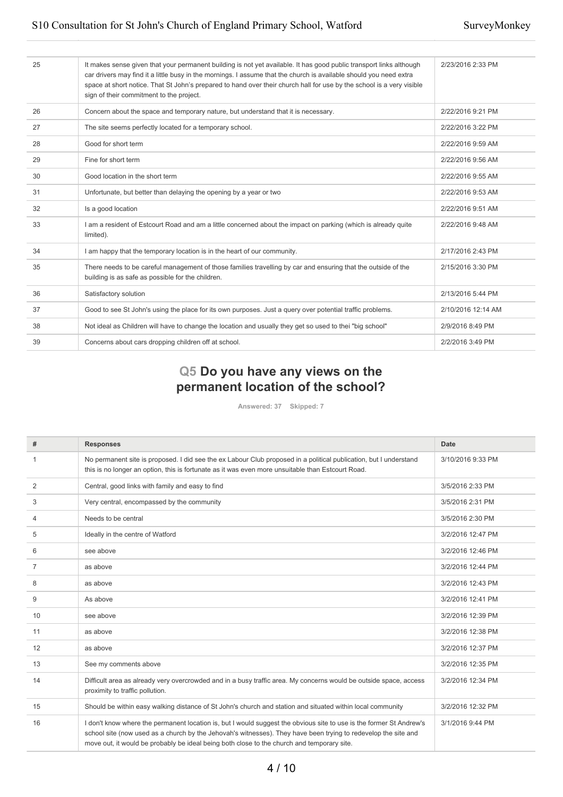| 25 | It makes sense given that your permanent building is not yet available. It has good public transport links although<br>car drivers may find it a little busy in the mornings. I assume that the church is available should you need extra<br>space at short notice. That St John's prepared to hand over their church hall for use by the school is a very visible<br>sign of their commitment to the project. | 2/23/2016 2:33 PM  |
|----|----------------------------------------------------------------------------------------------------------------------------------------------------------------------------------------------------------------------------------------------------------------------------------------------------------------------------------------------------------------------------------------------------------------|--------------------|
| 26 | Concern about the space and temporary nature, but understand that it is necessary.                                                                                                                                                                                                                                                                                                                             | 2/22/2016 9:21 PM  |
| 27 | The site seems perfectly located for a temporary school.                                                                                                                                                                                                                                                                                                                                                       | 2/22/2016 3:22 PM  |
| 28 | Good for short term                                                                                                                                                                                                                                                                                                                                                                                            | 2/22/2016 9:59 AM  |
| 29 | Fine for short term                                                                                                                                                                                                                                                                                                                                                                                            | 2/22/2016 9:56 AM  |
| 30 | Good location in the short term                                                                                                                                                                                                                                                                                                                                                                                | 2/22/2016 9:55 AM  |
| 31 | Unfortunate, but better than delaying the opening by a year or two                                                                                                                                                                                                                                                                                                                                             | 2/22/2016 9:53 AM  |
| 32 | Is a good location                                                                                                                                                                                                                                                                                                                                                                                             | 2/22/2016 9:51 AM  |
| 33 | I am a resident of Estcourt Road and am a little concerned about the impact on parking (which is already quite<br>limited).                                                                                                                                                                                                                                                                                    | 2/22/2016 9:48 AM  |
| 34 | I am happy that the temporary location is in the heart of our community.                                                                                                                                                                                                                                                                                                                                       | 2/17/2016 2:43 PM  |
| 35 | There needs to be careful management of those families travelling by car and ensuring that the outside of the<br>building is as safe as possible for the children.                                                                                                                                                                                                                                             | 2/15/2016 3:30 PM  |
| 36 | Satisfactory solution                                                                                                                                                                                                                                                                                                                                                                                          | 2/13/2016 5:44 PM  |
| 37 | Good to see St John's using the place for its own purposes. Just a query over potential traffic problems.                                                                                                                                                                                                                                                                                                      | 2/10/2016 12:14 AM |
| 38 | Not ideal as Children will have to change the location and usually they get so used to thei "big school"                                                                                                                                                                                                                                                                                                       | 2/9/2016 8:49 PM   |
| 39 | Concerns about cars dropping children off at school.                                                                                                                                                                                                                                                                                                                                                           | 2/2/2016 3:49 PM   |
|    |                                                                                                                                                                                                                                                                                                                                                                                                                |                    |

# **Q5 Do you have any views on the permanent location of the school?**

**Answered: 37 Skipped: 7**

| #  | <b>Responses</b>                                                                                                                                                                                                                                                                                                                    | Date              |
|----|-------------------------------------------------------------------------------------------------------------------------------------------------------------------------------------------------------------------------------------------------------------------------------------------------------------------------------------|-------------------|
| 1  | No permanent site is proposed. I did see the ex Labour Club proposed in a political publication, but I understand<br>this is no longer an option, this is fortunate as it was even more unsuitable than Estcourt Road.                                                                                                              | 3/10/2016 9:33 PM |
| 2  | Central, good links with family and easy to find                                                                                                                                                                                                                                                                                    | 3/5/2016 2:33 PM  |
| 3  | Very central, encompassed by the community                                                                                                                                                                                                                                                                                          | 3/5/2016 2:31 PM  |
| 4  | Needs to be central                                                                                                                                                                                                                                                                                                                 | 3/5/2016 2:30 PM  |
| 5  | Ideally in the centre of Watford                                                                                                                                                                                                                                                                                                    | 3/2/2016 12:47 PM |
| 6  | see above                                                                                                                                                                                                                                                                                                                           | 3/2/2016 12:46 PM |
| 7  | as above                                                                                                                                                                                                                                                                                                                            | 3/2/2016 12:44 PM |
| 8  | as above                                                                                                                                                                                                                                                                                                                            | 3/2/2016 12:43 PM |
| 9  | As above                                                                                                                                                                                                                                                                                                                            | 3/2/2016 12:41 PM |
| 10 | see above                                                                                                                                                                                                                                                                                                                           | 3/2/2016 12:39 PM |
| 11 | as above                                                                                                                                                                                                                                                                                                                            | 3/2/2016 12:38 PM |
| 12 | as above                                                                                                                                                                                                                                                                                                                            | 3/2/2016 12:37 PM |
| 13 | See my comments above                                                                                                                                                                                                                                                                                                               | 3/2/2016 12:35 PM |
| 14 | Difficult area as already very overcrowded and in a busy traffic area. My concerns would be outside space, access<br>proximity to traffic pollution.                                                                                                                                                                                | 3/2/2016 12:34 PM |
| 15 | Should be within easy walking distance of St John's church and station and situated within local community                                                                                                                                                                                                                          | 3/2/2016 12:32 PM |
| 16 | I don't know where the permanent location is, but I would suggest the obvious site to use is the former St Andrew's<br>school site (now used as a church by the Jehovah's witnesses). They have been trying to redevelop the site and<br>move out, it would be probably be ideal being both close to the church and temporary site. | 3/1/2016 9:44 PM  |

#### 4 / 10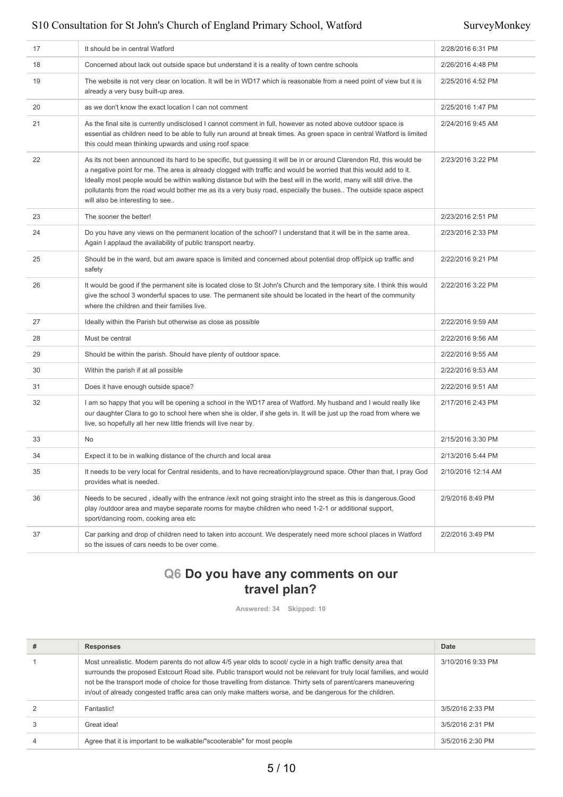| 17 | It should be in central Watford                                                                                                                                                                                                                                                                                                                                                                                                                                                                                        | 2/28/2016 6:31 PM  |
|----|------------------------------------------------------------------------------------------------------------------------------------------------------------------------------------------------------------------------------------------------------------------------------------------------------------------------------------------------------------------------------------------------------------------------------------------------------------------------------------------------------------------------|--------------------|
| 18 | Concerned about lack out outside space but understand it is a reality of town centre schools                                                                                                                                                                                                                                                                                                                                                                                                                           | 2/26/2016 4:48 PM  |
| 19 | The website is not very clear on location. It will be in WD17 which is reasonable from a need point of view but it is<br>already a very busy built-up area.                                                                                                                                                                                                                                                                                                                                                            | 2/25/2016 4:52 PM  |
| 20 | as we don't know the exact location I can not comment                                                                                                                                                                                                                                                                                                                                                                                                                                                                  | 2/25/2016 1:47 PM  |
| 21 | As the final site is currently undisclosed I cannot comment in full, however as noted above outdoor space is<br>essential as children need to be able to fully run around at break times. As green space in central Watford is limited<br>this could mean thinking upwards and using roof space                                                                                                                                                                                                                        | 2/24/2016 9:45 AM  |
| 22 | As its not been announced its hard to be specific, but guessing it will be in or around Clarendon Rd, this would be<br>a negative point for me. The area is already clogged with traffic and would be worried that this would add to it.<br>Ideally most people would be within walking distance but with the best will in the world, many will still drive. the<br>pollutants from the road would bother me as its a very busy road, especially the buses The outside space aspect<br>will also be interesting to see | 2/23/2016 3:22 PM  |
| 23 | The sooner the better!                                                                                                                                                                                                                                                                                                                                                                                                                                                                                                 | 2/23/2016 2:51 PM  |
| 24 | Do you have any views on the permanent location of the school? I understand that it will be in the same area.<br>Again I applaud the availability of public transport nearby.                                                                                                                                                                                                                                                                                                                                          | 2/23/2016 2:33 PM  |
| 25 | Should be in the ward, but am aware space is limited and concerned about potential drop off/pick up traffic and<br>safety                                                                                                                                                                                                                                                                                                                                                                                              | 2/22/2016 9:21 PM  |
| 26 | It would be good if the permanent site is located close to St John's Church and the temporary site. I think this would<br>give the school 3 wonderful spaces to use. The permanent site should be located in the heart of the community<br>where the children and their families live.                                                                                                                                                                                                                                 | 2/22/2016 3:22 PM  |
| 27 | Ideally within the Parish but otherwise as close as possible                                                                                                                                                                                                                                                                                                                                                                                                                                                           | 2/22/2016 9:59 AM  |
| 28 | Must be central                                                                                                                                                                                                                                                                                                                                                                                                                                                                                                        | 2/22/2016 9:56 AM  |
| 29 | Should be within the parish. Should have plenty of outdoor space.                                                                                                                                                                                                                                                                                                                                                                                                                                                      | 2/22/2016 9:55 AM  |
| 30 | Within the parish if at all possible                                                                                                                                                                                                                                                                                                                                                                                                                                                                                   | 2/22/2016 9:53 AM  |
| 31 | Does it have enough outside space?                                                                                                                                                                                                                                                                                                                                                                                                                                                                                     | 2/22/2016 9:51 AM  |
| 32 | I am so happy that you will be opening a school in the WD17 area of Watford. My husband and I would really like<br>our daughter Clara to go to school here when she is older, if she gets in. It will be just up the road from where we<br>live, so hopefully all her new little friends will live near by.                                                                                                                                                                                                            | 2/17/2016 2:43 PM  |
| 33 | No                                                                                                                                                                                                                                                                                                                                                                                                                                                                                                                     | 2/15/2016 3:30 PM  |
| 34 | Expect it to be in walking distance of the church and local area                                                                                                                                                                                                                                                                                                                                                                                                                                                       | 2/13/2016 5:44 PM  |
| 35 | It needs to be very local for Central residents, and to have recreation/playground space. Other than that, I pray God<br>provides what is needed.                                                                                                                                                                                                                                                                                                                                                                      | 2/10/2016 12:14 AM |
| 36 | Needs to be secured, ideally with the entrance /exit not going straight into the street as this is dangerous. Good<br>play /outdoor area and maybe separate rooms for maybe children who need 1-2-1 or additional support,<br>sport/dancing room, cooking area etc                                                                                                                                                                                                                                                     | 2/9/2016 8:49 PM   |
| 37 | Car parking and drop of children need to taken into account. We desperately need more school places in Watford<br>so the issues of cars needs to be over come.                                                                                                                                                                                                                                                                                                                                                         | 2/2/2016 3:49 PM   |
|    |                                                                                                                                                                                                                                                                                                                                                                                                                                                                                                                        |                    |

# **Q6 Do you have any comments on our travel plan?**

**Answered: 34 Skipped: 10**

| # | <b>Responses</b>                                                                                                                                                                                                                                                                                                                                                                                                                                                         | Date              |
|---|--------------------------------------------------------------------------------------------------------------------------------------------------------------------------------------------------------------------------------------------------------------------------------------------------------------------------------------------------------------------------------------------------------------------------------------------------------------------------|-------------------|
|   | Most unrealistic. Modern parents do not allow 4/5 year olds to scoot/ cycle in a high traffic density area that<br>surrounds the proposed Estcourt Road site. Public transport would not be relevant for truly local families, and would<br>not be the transport mode of choice for those travelling from distance. Thirty sets of parent/carers maneuvering<br>in/out of already congested traffic area can only make matters worse, and be dangerous for the children. | 3/10/2016 9:33 PM |
|   | Fantastic!                                                                                                                                                                                                                                                                                                                                                                                                                                                               | 3/5/2016 2:33 PM  |
|   | Great idea!                                                                                                                                                                                                                                                                                                                                                                                                                                                              | 3/5/2016 2:31 PM  |
|   | Agree that it is important to be walkable/"scooterable" for most people                                                                                                                                                                                                                                                                                                                                                                                                  | 3/5/2016 2:30 PM  |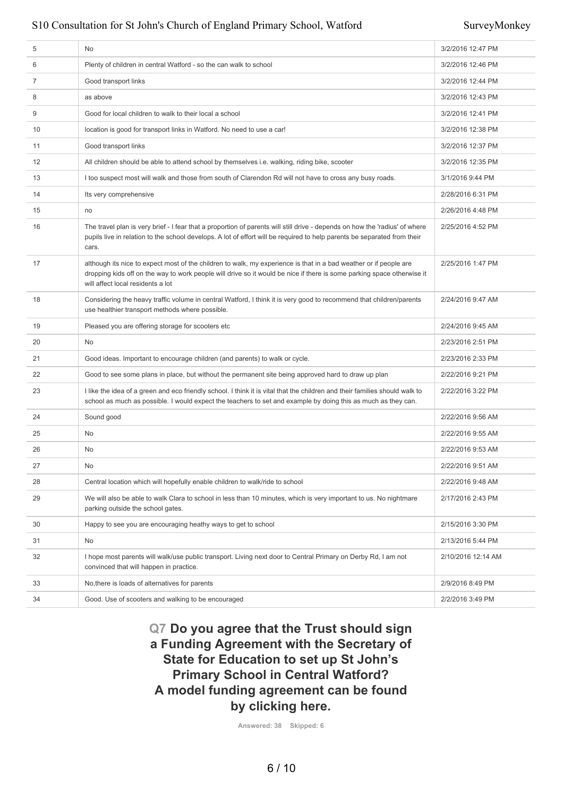| 5  | No                                                                                                                                                                                                                                                                               | 3/2/2016 12:47 PM  |
|----|----------------------------------------------------------------------------------------------------------------------------------------------------------------------------------------------------------------------------------------------------------------------------------|--------------------|
| 6  | Plenty of children in central Watford - so the can walk to school                                                                                                                                                                                                                | 3/2/2016 12:46 PM  |
| 7  | Good transport links                                                                                                                                                                                                                                                             | 3/2/2016 12:44 PM  |
| 8  | as above                                                                                                                                                                                                                                                                         | 3/2/2016 12:43 PM  |
| 9  | Good for local children to walk to their local a school                                                                                                                                                                                                                          | 3/2/2016 12:41 PM  |
| 10 | location is good for transport links in Watford. No need to use a car!                                                                                                                                                                                                           | 3/2/2016 12:38 PM  |
| 11 | Good transport links                                                                                                                                                                                                                                                             | 3/2/2016 12:37 PM  |
| 12 | All children should be able to attend school by themselves i.e. walking, riding bike, scooter                                                                                                                                                                                    | 3/2/2016 12:35 PM  |
| 13 | I too suspect most will walk and those from south of Clarendon Rd will not have to cross any busy roads.                                                                                                                                                                         | 3/1/2016 9:44 PM   |
| 14 | Its very comprehensive                                                                                                                                                                                                                                                           | 2/28/2016 6:31 PM  |
| 15 | no                                                                                                                                                                                                                                                                               | 2/26/2016 4:48 PM  |
| 16 | The travel plan is very brief - I fear that a proportion of parents will still drive - depends on how the 'radius' of where<br>pupils live in relation to the school develops. A lot of effort will be required to help parents be separated from their<br>cars.                 | 2/25/2016 4:52 PM  |
| 17 | although its nice to expect most of the children to walk, my experience is that in a bad weather or if people are<br>dropping kids off on the way to work people will drive so it would be nice if there is some parking space otherwise it<br>will affect local residents a lot | 2/25/2016 1:47 PM  |
| 18 | Considering the heavy traffic volume in central Watford, I think it is very good to recommend that children/parents<br>use healthier transport methods where possible.                                                                                                           | 2/24/2016 9:47 AM  |
| 19 | Pleased you are offering storage for scooters etc                                                                                                                                                                                                                                | 2/24/2016 9:45 AM  |
| 20 | No                                                                                                                                                                                                                                                                               | 2/23/2016 2:51 PM  |
| 21 | Good ideas. Important to encourage children (and parents) to walk or cycle.                                                                                                                                                                                                      | 2/23/2016 2:33 PM  |
| 22 | Good to see some plans in place, but without the permanent site being approved hard to draw up plan                                                                                                                                                                              | 2/22/2016 9:21 PM  |
| 23 | I like the idea of a green and eco friendly school. I think it is vital that the children and their families should walk to<br>school as much as possible. I would expect the teachers to set and example by doing this as much as they can.                                     | 2/22/2016 3:22 PM  |
| 24 | Sound good                                                                                                                                                                                                                                                                       | 2/22/2016 9:56 AM  |
| 25 | No                                                                                                                                                                                                                                                                               | 2/22/2016 9:55 AM  |
| 26 | No                                                                                                                                                                                                                                                                               | 2/22/2016 9:53 AM  |
| 27 | No                                                                                                                                                                                                                                                                               | 2/22/2016 9:51 AM  |
| 28 | Central location which will hopefully enable children to walk/ride to school                                                                                                                                                                                                     | 2/22/2016 9:48 AM  |
| 29 | We will also be able to walk Clara to school in less than 10 minutes, which is very important to us. No nightmare<br>parking outside the school gates.                                                                                                                           | 2/17/2016 2:43 PM  |
| 30 | Happy to see you are encouraging heathy ways to get to school                                                                                                                                                                                                                    | 2/15/2016 3:30 PM  |
| 31 | No                                                                                                                                                                                                                                                                               | 2/13/2016 5:44 PM  |
| 32 | I hope most parents will walk/use public transport. Living next door to Central Primary on Derby Rd, I am not<br>convinced that will happen in practice.                                                                                                                         | 2/10/2016 12:14 AM |
| 33 | No, there is loads of alternatives for parents                                                                                                                                                                                                                                   | 2/9/2016 8:49 PM   |
| 34 | Good. Use of scooters and walking to be encouraged                                                                                                                                                                                                                               | 2/2/2016 3:49 PM   |
|    |                                                                                                                                                                                                                                                                                  |                    |

**Q7 Do you agree that the Trust should sign a Funding Agreement with the Secretary of State for Education to set up St John's Primary School in Central Watford? A model funding agreement can be found by clicking here.**

**Answered: 38 Skipped: 6**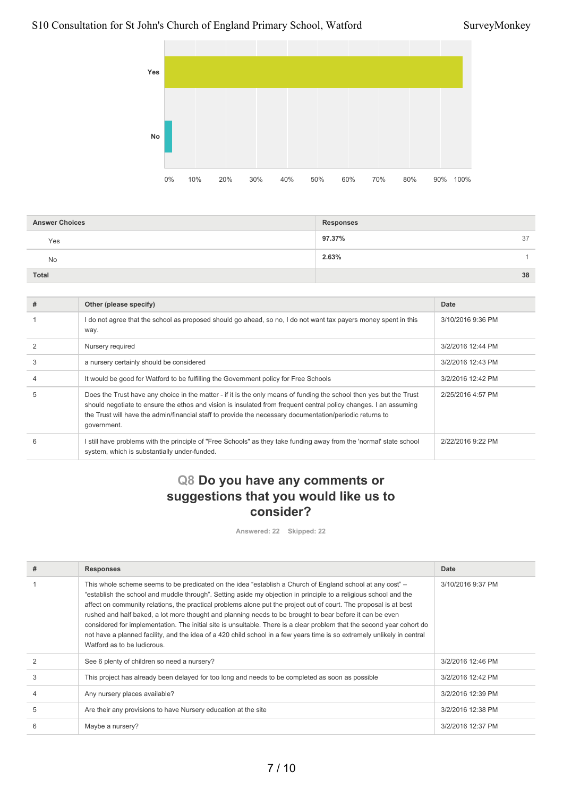

| <b>Answer Choices</b> | <b>Responses</b> |
|-----------------------|------------------|
| Yes                   | 97.37%<br>37     |
| <b>No</b>             | 2.63%            |
| <b>Total</b>          | 38               |

| # | Other (please specify)                                                                                                                                                                                                                                                                                                                                             | Date              |
|---|--------------------------------------------------------------------------------------------------------------------------------------------------------------------------------------------------------------------------------------------------------------------------------------------------------------------------------------------------------------------|-------------------|
|   | do not agree that the school as proposed should go ahead, so no, I do not want tax payers money spent in this<br>way.                                                                                                                                                                                                                                              | 3/10/2016 9:36 PM |
|   | Nursery required                                                                                                                                                                                                                                                                                                                                                   | 3/2/2016 12:44 PM |
| 3 | a nursery certainly should be considered                                                                                                                                                                                                                                                                                                                           | 3/2/2016 12:43 PM |
|   | It would be good for Watford to be fulfilling the Government policy for Free Schools                                                                                                                                                                                                                                                                               | 3/2/2016 12:42 PM |
| 5 | Does the Trust have any choice in the matter - if it is the only means of funding the school then yes but the Trust<br>should negotiate to ensure the ethos and vision is insulated from frequent central policy changes. I an assuming<br>the Trust will have the admin/financial staff to provide the necessary documentation/periodic returns to<br>government. | 2/25/2016 4:57 PM |
| Բ | still have problems with the principle of "Free Schools" as they take funding away from the 'normal' state school<br>system, which is substantially under-funded.                                                                                                                                                                                                  | 2/22/2016 9:22 PM |

## **Q8 Do you have any comments or suggestions that you would like us to consider?**

**Answered: 22 Skipped: 22**

| # | <b>Responses</b>                                                                                                                                                                                                                                                                                                                                                                                                                                                                                                                                                                                                                                                                                                                                   | Date              |
|---|----------------------------------------------------------------------------------------------------------------------------------------------------------------------------------------------------------------------------------------------------------------------------------------------------------------------------------------------------------------------------------------------------------------------------------------------------------------------------------------------------------------------------------------------------------------------------------------------------------------------------------------------------------------------------------------------------------------------------------------------------|-------------------|
|   | This whole scheme seems to be predicated on the idea "establish a Church of England school at any cost" -<br>"establish the school and muddle through". Setting aside my objection in principle to a religious school and the<br>affect on community relations, the practical problems alone put the project out of court. The proposal is at best<br>rushed and half baked, a lot more thought and planning needs to be brought to bear before it can be even<br>considered for implementation. The initial site is unsuitable. There is a clear problem that the second year cohort do<br>not have a planned facility, and the idea of a 420 child school in a few years time is so extremely unlikely in central<br>Watford as to be ludicrous. | 3/10/2016 9:37 PM |
|   | See 6 plenty of children so need a nursery?                                                                                                                                                                                                                                                                                                                                                                                                                                                                                                                                                                                                                                                                                                        | 3/2/2016 12:46 PM |
| 3 | This project has already been delayed for too long and needs to be completed as soon as possible                                                                                                                                                                                                                                                                                                                                                                                                                                                                                                                                                                                                                                                   | 3/2/2016 12:42 PM |
|   | Any nursery places available?                                                                                                                                                                                                                                                                                                                                                                                                                                                                                                                                                                                                                                                                                                                      | 3/2/2016 12:39 PM |
| 5 | Are their any provisions to have Nursery education at the site                                                                                                                                                                                                                                                                                                                                                                                                                                                                                                                                                                                                                                                                                     | 3/2/2016 12:38 PM |
| 6 | Maybe a nursery?                                                                                                                                                                                                                                                                                                                                                                                                                                                                                                                                                                                                                                                                                                                                   | 3/2/2016 12:37 PM |